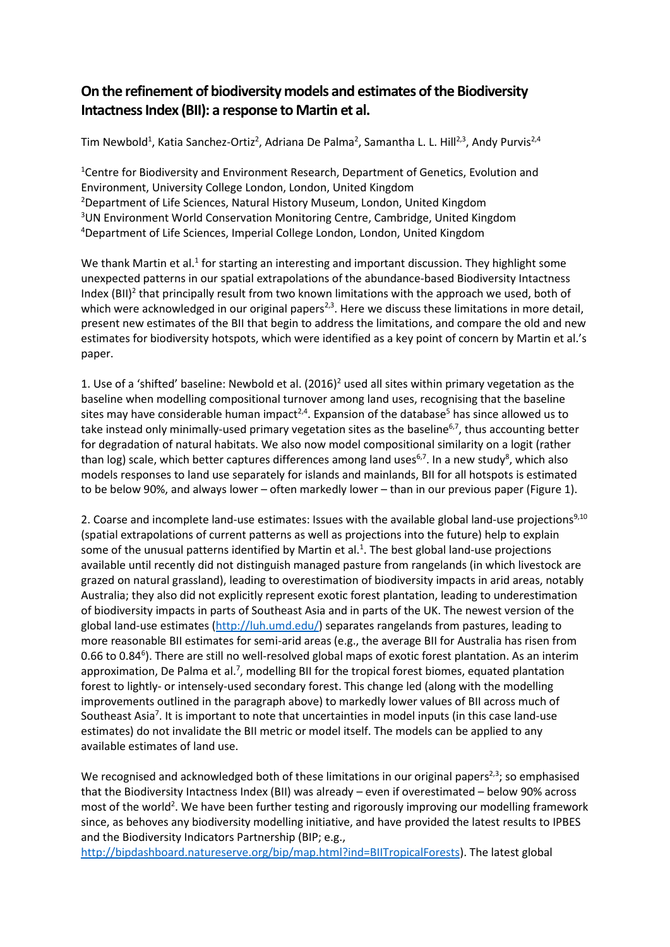## **On the refinement of biodiversity models and estimates of the Biodiversity Intactness Index (BII): a response to Martin et al.**

Tim Newbold<sup>1</sup>, Katia Sanchez-Ortiz<sup>2</sup>, Adriana De Palma<sup>2</sup>, Samantha L. L. Hill<sup>2,3</sup>, Andy Purvis<sup>2,4</sup>

<sup>1</sup>Centre for Biodiversity and Environment Research, Department of Genetics, Evolution and Environment, University College London, London, United Kingdom <sup>2</sup>Department of Life Sciences, Natural History Museum, London, United Kingdom <sup>3</sup>UN Environment World Conservation Monitoring Centre, Cambridge, United Kingdom <sup>4</sup>Department of Life Sciences, Imperial College London, London, United Kingdom

We thank Martin et al.<sup>1</sup> for starting an interesting and important discussion. They highlight some unexpected patterns in our spatial extrapolations of the abundance-based Biodiversity Intactness Index (BII)<sup>2</sup> that principally result from two known limitations with the approach we used, both of which were acknowledged in our original papers<sup>2,3</sup>. Here we discuss these limitations in more detail, present new estimates of the BII that begin to address the limitations, and compare the old and new estimates for biodiversity hotspots, which were identified as a key point of concern by Martin et al.'s paper.

1. Use of a 'shifted' baseline: Newbold et al.  $(2016)^2$  used all sites within primary vegetation as the baseline when modelling compositional turnover among land uses, recognising that the baseline sites may have considerable human impact<sup>2,4</sup>. Expansion of the database<sup>5</sup> has since allowed us to take instead only minimally-used primary vegetation sites as the baseline<sup>6,7</sup>, thus accounting better for degradation of natural habitats. We also now model compositional similarity on a logit (rather than log) scale, which better captures differences among land uses<sup>6,7</sup>. In a new study<sup>8</sup>, which also models responses to land use separately for islands and mainlands, BII for all hotspots is estimated to be below 90%, and always lower – often markedly lower – than in our previous paper (Figure 1).

2. Coarse and incomplete land-use estimates: Issues with the available global land-use projections<sup>9,10</sup> (spatial extrapolations of current patterns as well as projections into the future) help to explain some of the unusual patterns identified by Martin et al. $<sup>1</sup>$ . The best global land-use projections</sup> available until recently did not distinguish managed pasture from rangelands (in which livestock are grazed on natural grassland), leading to overestimation of biodiversity impacts in arid areas, notably Australia; they also did not explicitly represent exotic forest plantation, leading to underestimation of biodiversity impacts in parts of Southeast Asia and in parts of the UK. The newest version of the global land-use estimates [\(http://luh.umd.edu/\)](http://luh.umd.edu/) separates rangelands from pastures, leading to more reasonable BII estimates for semi-arid areas (e.g., the average BII for Australia has risen from 0.66 to 0.84<sup>6</sup>). There are still no well-resolved global maps of exotic forest plantation. As an interim approximation, De Palma et al.<sup>7</sup>, modelling BII for the tropical forest biomes, equated plantation forest to lightly- or intensely-used secondary forest. This change led (along with the modelling improvements outlined in the paragraph above) to markedly lower values of BII across much of Southeast Asia<sup>7</sup>. It is important to note that uncertainties in model inputs (in this case land-use estimates) do not invalidate the BII metric or model itself. The models can be applied to any available estimates of land use.

We recognised and acknowledged both of these limitations in our original papers<sup>2,3</sup>; so emphasised that the Biodiversity Intactness Index (BII) was already – even if overestimated – below 90% across most of the world<sup>2</sup>. We have been further testing and rigorously improving our modelling framework since, as behoves any biodiversity modelling initiative, and have provided the latest results to IPBES and the Biodiversity Indicators Partnership (BIP; e.g.,

[http://bipdashboard.natureserve.org/bip/map.html?ind=BIITropicalForests\)](http://bipdashboard.natureserve.org/bip/map.html?ind=BIITropicalForests). The latest global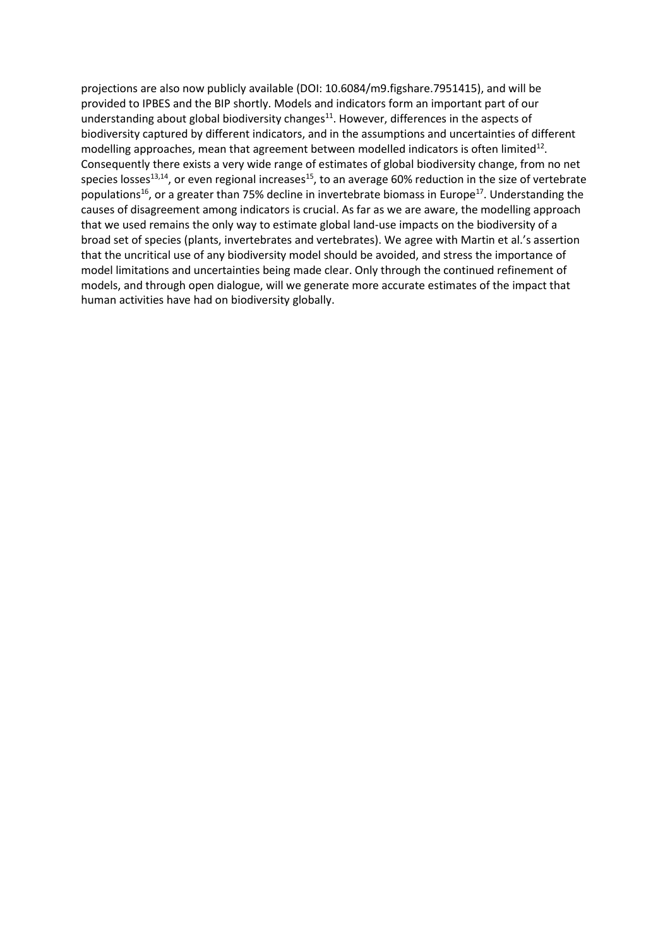projections are also now publicly available (DOI: 10.6084/m9.figshare.7951415), and will be provided to IPBES and the BIP shortly. Models and indicators form an important part of our understanding about global biodiversity changes<sup>11</sup>. However, differences in the aspects of biodiversity captured by different indicators, and in the assumptions and uncertainties of different modelling approaches, mean that agreement between modelled indicators is often limited<sup>12</sup>. Consequently there exists a very wide range of estimates of global biodiversity change, from no net species losses<sup>13,14</sup>, or even regional increases<sup>15</sup>, to an average 60% reduction in the size of vertebrate populations<sup>16</sup>, or a greater than 75% decline in invertebrate biomass in Europe<sup>17</sup>. Understanding the causes of disagreement among indicators is crucial. As far as we are aware, the modelling approach that we used remains the only way to estimate global land-use impacts on the biodiversity of a broad set of species (plants, invertebrates and vertebrates). We agree with Martin et al.'s assertion that the uncritical use of any biodiversity model should be avoided, and stress the importance of model limitations and uncertainties being made clear. Only through the continued refinement of models, and through open dialogue, will we generate more accurate estimates of the impact that human activities have had on biodiversity globally.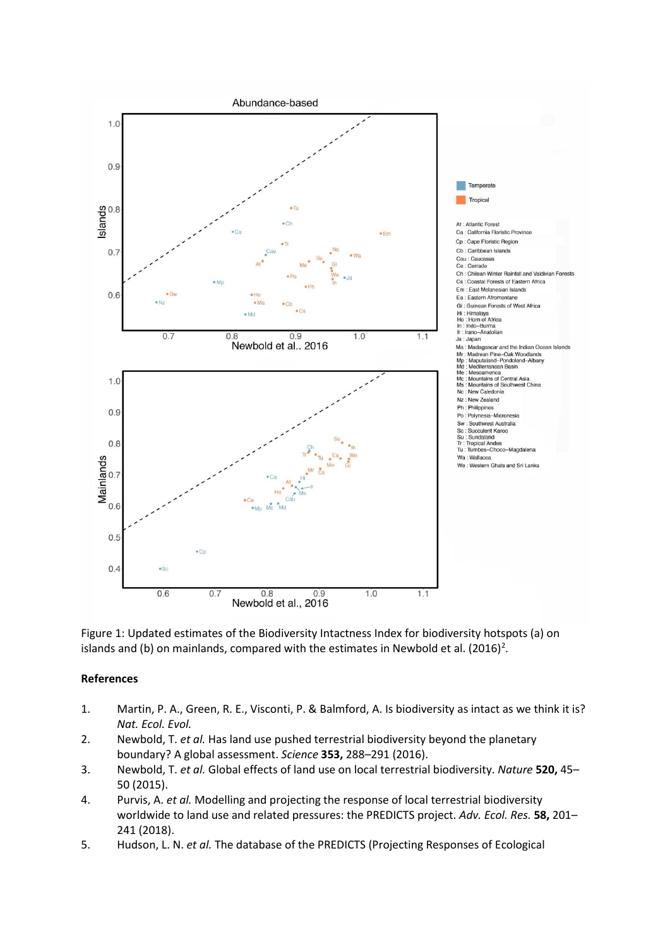

Figure 1: Updated estimates of the Biodiversity Intactness Index for biodiversity hotspots (a) on islands and (b) on mainlands, compared with the estimates in Newbold et al.  $(2016)^2$ .

## **References**

- 1. Martin, P. A., Green, R. E., Visconti, P. & Balmford, A. Is biodiversity as intact as we think it is? *Nat. Ecol. Evol.*
- 2. Newbold, T. *et al.* Has land use pushed terrestrial biodiversity beyond the planetary boundary? A global assessment. *Science* **353,** 288–291 (2016).
- 3. Newbold, T. *et al.* Global effects of land use on local terrestrial biodiversity. *Nature* **520,** 45– 50 (2015).
- 4. Purvis, A. *et al.* Modelling and projecting the response of local terrestrial biodiversity worldwide to land use and related pressures: the PREDICTS project. *Adv. Ecol. Res.* **58,** 201– 241 (2018).
- 5. Hudson, L. N. *et al.* The database of the PREDICTS (Projecting Responses of Ecological